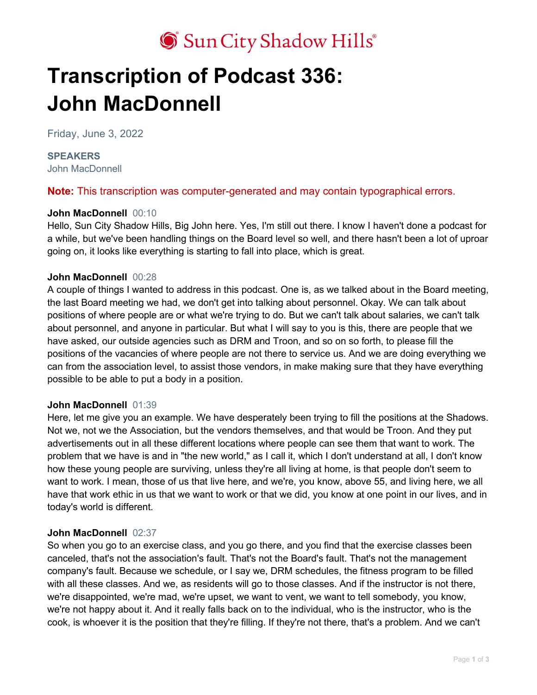# Sun City Shadow Hills®

# **Transcription of Podcast 336: John MacDonnell**

Friday, June 3, 2022

#### **SPEAKERS** John MacDonnell

**Note:** This transcription was computer-generated and may contain typographical errors.

# **John MacDonnell** 00:10

Hello, Sun City Shadow Hills, Big John here. Yes, I'm still out there. I know I haven't done a podcast for a while, but we've been handling things on the Board level so well, and there hasn't been a lot of uproar going on, it looks like everything is starting to fall into place, which is great.

# **John MacDonnell** 00:28

A couple of things I wanted to address in this podcast. One is, as we talked about in the Board meeting, the last Board meeting we had, we don't get into talking about personnel. Okay. We can talk about positions of where people are or what we're trying to do. But we can't talk about salaries, we can't talk about personnel, and anyone in particular. But what I will say to you is this, there are people that we have asked, our outside agencies such as DRM and Troon, and so on so forth, to please fill the positions of the vacancies of where people are not there to service us. And we are doing everything we can from the association level, to assist those vendors, in make making sure that they have everything possible to be able to put a body in a position.

# **John MacDonnell** 01:39

Here, let me give you an example. We have desperately been trying to fill the positions at the Shadows. Not we, not we the Association, but the vendors themselves, and that would be Troon. And they put advertisements out in all these different locations where people can see them that want to work. The problem that we have is and in "the new world," as I call it, which I don't understand at all, I don't know how these young people are surviving, unless they're all living at home, is that people don't seem to want to work. I mean, those of us that live here, and we're, you know, above 55, and living here, we all have that work ethic in us that we want to work or that we did, you know at one point in our lives, and in today's world is different.

# **John MacDonnell** 02:37

So when you go to an exercise class, and you go there, and you find that the exercise classes been canceled, that's not the association's fault. That's not the Board's fault. That's not the management company's fault. Because we schedule, or I say we, DRM schedules, the fitness program to be filled with all these classes. And we, as residents will go to those classes. And if the instructor is not there, we're disappointed, we're mad, we're upset, we want to vent, we want to tell somebody, you know, we're not happy about it. And it really falls back on to the individual, who is the instructor, who is the cook, is whoever it is the position that they're filling. If they're not there, that's a problem. And we can't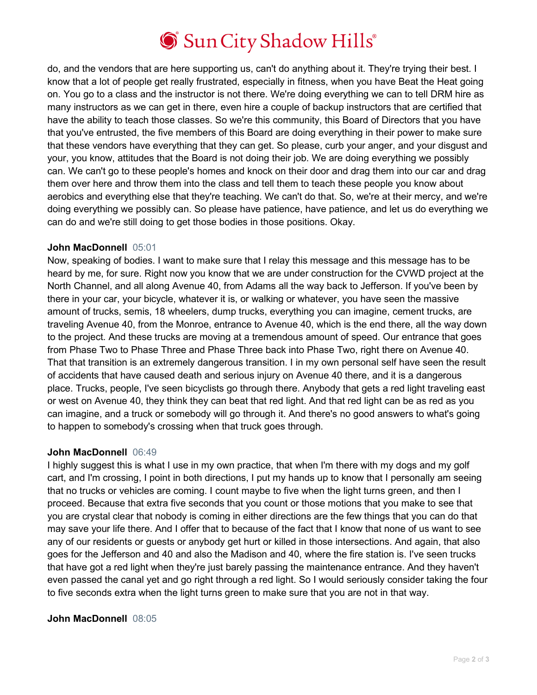# Sun City Shadow Hills®

do, and the vendors that are here supporting us, can't do anything about it. They're trying their best. I know that a lot of people get really frustrated, especially in fitness, when you have Beat the Heat going on. You go to a class and the instructor is not there. We're doing everything we can to tell DRM hire as many instructors as we can get in there, even hire a couple of backup instructors that are certified that have the ability to teach those classes. So we're this community, this Board of Directors that you have that you've entrusted, the five members of this Board are doing everything in their power to make sure that these vendors have everything that they can get. So please, curb your anger, and your disgust and your, you know, attitudes that the Board is not doing their job. We are doing everything we possibly can. We can't go to these people's homes and knock on their door and drag them into our car and drag them over here and throw them into the class and tell them to teach these people you know about aerobics and everything else that they're teaching. We can't do that. So, we're at their mercy, and we're doing everything we possibly can. So please have patience, have patience, and let us do everything we can do and we're still doing to get those bodies in those positions. Okay.

#### **John MacDonnell** 05:01

Now, speaking of bodies. I want to make sure that I relay this message and this message has to be heard by me, for sure. Right now you know that we are under construction for the CVWD project at the North Channel, and all along Avenue 40, from Adams all the way back to Jefferson. If you've been by there in your car, your bicycle, whatever it is, or walking or whatever, you have seen the massive amount of trucks, semis, 18 wheelers, dump trucks, everything you can imagine, cement trucks, are traveling Avenue 40, from the Monroe, entrance to Avenue 40, which is the end there, all the way down to the project. And these trucks are moving at a tremendous amount of speed. Our entrance that goes from Phase Two to Phase Three and Phase Three back into Phase Two, right there on Avenue 40. That that transition is an extremely dangerous transition. I in my own personal self have seen the result of accidents that have caused death and serious injury on Avenue 40 there, and it is a dangerous place. Trucks, people, I've seen bicyclists go through there. Anybody that gets a red light traveling east or west on Avenue 40, they think they can beat that red light. And that red light can be as red as you can imagine, and a truck or somebody will go through it. And there's no good answers to what's going to happen to somebody's crossing when that truck goes through.

#### **John MacDonnell** 06:49

I highly suggest this is what I use in my own practice, that when I'm there with my dogs and my golf cart, and I'm crossing, I point in both directions, I put my hands up to know that I personally am seeing that no trucks or vehicles are coming. I count maybe to five when the light turns green, and then I proceed. Because that extra five seconds that you count or those motions that you make to see that you are crystal clear that nobody is coming in either directions are the few things that you can do that may save your life there. And I offer that to because of the fact that I know that none of us want to see any of our residents or guests or anybody get hurt or killed in those intersections. And again, that also goes for the Jefferson and 40 and also the Madison and 40, where the fire station is. I've seen trucks that have got a red light when they're just barely passing the maintenance entrance. And they haven't even passed the canal yet and go right through a red light. So I would seriously consider taking the four to five seconds extra when the light turns green to make sure that you are not in that way.

# **John MacDonnell** 08:05